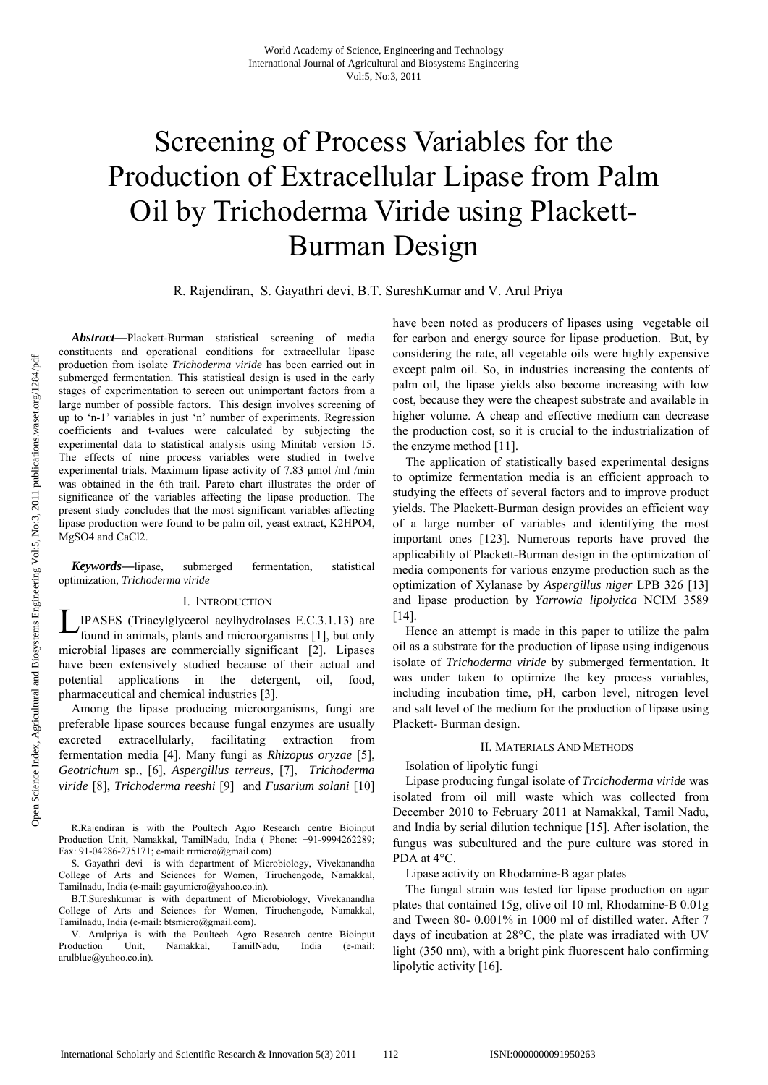# Screening of Process Variables for the Production of Extracellular Lipase from Palm Oil by Trichoderma Viride using Plackett-Burman Design

R. Rajendiran, S. Gayathri devi, B.T. SureshKumar and V. Arul Priya

*Abstract***—**Plackett-Burman statistical screening of media constituents and operational conditions for extracellular lipase production from isolate *Trichoderma viride* has been carried out in submerged fermentation. This statistical design is used in the early stages of experimentation to screen out unimportant factors from a large number of possible factors. This design involves screening of up to 'n-1' variables in just 'n' number of experiments. Regression coefficients and t-values were calculated by subjecting the experimental data to statistical analysis using Minitab version 15. The effects of nine process variables were studied in twelve experimental trials. Maximum lipase activity of 7.83 μmol /ml /min was obtained in the 6th trail. Pareto chart illustrates the order of significance of the variables affecting the lipase production. The present study concludes that the most significant variables affecting lipase production were found to be palm oil, yeast extract, K2HPO4, MgSO4 and CaCl2.

*Keywords***—**lipase, submerged fermentation, statistical optimization, *Trichoderma viride*

## I. INTRODUCTION

IPASES (Triacylglycerol acylhydrolases E.C.3.1.13) are found in animals, plants and microorganisms [1], but only found in animals, plants and microorganisms [1], but only microbial lipases are commercially significant [2]. Lipases have been extensively studied because of their actual and potential applications in the detergent, oil, food, pharmaceutical and chemical industries [3].

Among the lipase producing microorganisms, fungi are preferable lipase sources because fungal enzymes are usually excreted extracellularly, facilitating extraction from fermentation media [4]. Many fungi as *Rhizopus oryzae* [5], *Geotrichum* sp., [6], *Aspergillus terreus*, [7], *Trichoderma viride* [8], *Trichoderma reeshi* [9] and *Fusarium solani* [10]

V. Arulpriya is with the Poultech Agro Research centre Bioinput Production Unit, Namakkal, TamilNadu, India (e-mail: arulblue@yahoo.co.in).

have been noted as producers of lipases using vegetable oil for carbon and energy source for lipase production. But, by considering the rate, all vegetable oils were highly expensive except palm oil. So, in industries increasing the contents of palm oil, the lipase yields also become increasing with low cost, because they were the cheapest substrate and available in higher volume. A cheap and effective medium can decrease the production cost, so it is crucial to the industrialization of the enzyme method [11].

The application of statistically based experimental designs to optimize fermentation media is an efficient approach to studying the effects of several factors and to improve product yields. The Plackett-Burman design provides an efficient way of a large number of variables and identifying the most important ones [123]. Numerous reports have proved the applicability of Plackett-Burman design in the optimization of media components for various enzyme production such as the optimization of Xylanase by *Aspergillus niger* LPB 326 [13] and lipase production by *Yarrowia lipolytica* NCIM 3589 [14].

Hence an attempt is made in this paper to utilize the palm oil as a substrate for the production of lipase using indigenous isolate of *Trichoderma viride* by submerged fermentation. It was under taken to optimize the key process variables, including incubation time, pH, carbon level, nitrogen level and salt level of the medium for the production of lipase using Plackett- Burman design.

#### II. MATERIALS AND METHODS

Isolation of lipolytic fungi

Lipase producing fungal isolate of *Trcichoderma viride* was isolated from oil mill waste which was collected from December 2010 to February 2011 at Namakkal, Tamil Nadu, and India by serial dilution technique [15]. After isolation, the fungus was subcultured and the pure culture was stored in PDA at 4°C.

Lipase activity on Rhodamine-B agar plates

The fungal strain was tested for lipase production on agar plates that contained 15g, olive oil 10 ml, Rhodamine-B 0.01g and Tween 80- 0.001% in 1000 ml of distilled water. After 7 days of incubation at 28°C, the plate was irradiated with UV light (350 nm), with a bright pink fluorescent halo confirming lipolytic activity [16].

R.Rajendiran is with the Poultech Agro Research centre Bioinput Production Unit, Namakkal, TamilNadu, India ( Phone: +91-9994262289; Fax: 91-04286-275171; e-mail: rrmicro@gmail.com)

S. Gayathri devi is with department of Microbiology, Vivekanandha College of Arts and Sciences for Women, Tiruchengode, Namakkal, Tamilnadu, India (e-mail: gayumicro@yahoo.co.in).

B.T.Sureshkumar is with department of Microbiology, Vivekanandha College of Arts and Sciences for Women, Tiruchengode, Namakkal, Tamilnadu, India (e-mail: btsmicro@gmail.com).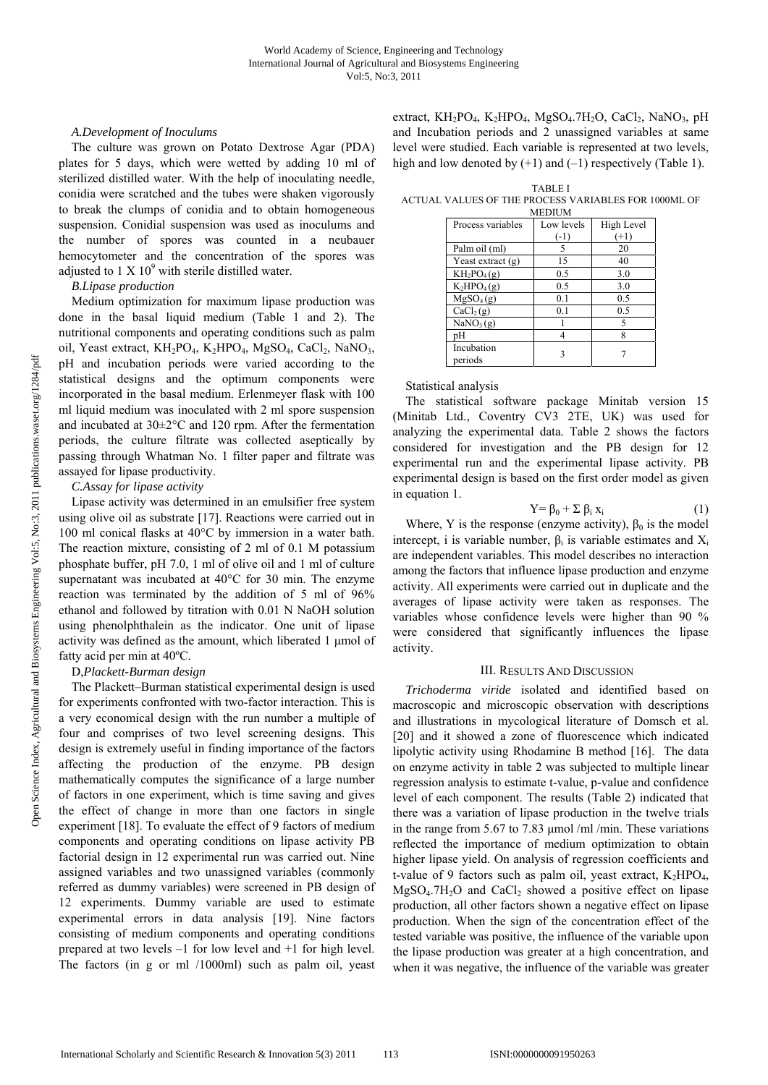#### *A.Development of Inoculums*

The culture was grown on Potato Dextrose Agar (PDA) plates for 5 days, which were wetted by adding 10 ml of sterilized distilled water. With the help of inoculating needle, conidia were scratched and the tubes were shaken vigorously to break the clumps of conidia and to obtain homogeneous suspension. Conidial suspension was used as inoculums and the number of spores was counted in a neubauer hemocytometer and the concentration of the spores was adjusted to  $1 \times 10^9$  with sterile distilled water.

## *B.Lipase production*

Medium optimization for maximum lipase production was done in the basal liquid medium (Table 1 and 2). The nutritional components and operating conditions such as palm oil, Yeast extract, KH<sub>2</sub>PO<sub>4</sub>, K<sub>2</sub>HPO<sub>4</sub>, MgSO<sub>4</sub>, CaCl<sub>2</sub>, NaNO<sub>3</sub>, pH and incubation periods were varied according to the statistical designs and the optimum components were incorporated in the basal medium. Erlenmeyer flask with 100 ml liquid medium was inoculated with 2 ml spore suspension and incubated at 30±2°C and 120 rpm. After the fermentation periods, the culture filtrate was collected aseptically by passing through Whatman No. 1 filter paper and filtrate was assayed for lipase productivity.

## *C.Assay for lipase activity*

Lipase activity was determined in an emulsifier free system using olive oil as substrate [17]. Reactions were carried out in 100 ml conical flasks at 40°C by immersion in a water bath. The reaction mixture, consisting of 2 ml of 0.1 M potassium phosphate buffer, pH 7.0, 1 ml of olive oil and 1 ml of culture supernatant was incubated at 40°C for 30 min. The enzyme reaction was terminated by the addition of 5 ml of 96% ethanol and followed by titration with 0.01 N NaOH solution using phenolphthalein as the indicator. One unit of lipase activity was defined as the amount, which liberated 1 μmol of fatty acid per min at 40ºC.

# D,*Plackett-Burman design*

The Plackett–Burman statistical experimental design is used for experiments confronted with two-factor interaction. This is a very economical design with the run number a multiple of four and comprises of two level screening designs. This design is extremely useful in finding importance of the factors affecting the production of the enzyme. PB design mathematically computes the significance of a large number of factors in one experiment, which is time saving and gives the effect of change in more than one factors in single experiment [18]. To evaluate the effect of 9 factors of medium components and operating conditions on lipase activity PB factorial design in 12 experimental run was carried out. Nine assigned variables and two unassigned variables (commonly referred as dummy variables) were screened in PB design of 12 experiments. Dummy variable are used to estimate experimental errors in data analysis [19]. Nine factors consisting of medium components and operating conditions prepared at two levels –1 for low level and +1 for high level. The factors (in g or ml /1000ml) such as palm oil, yeast

extract,  $KH_2PO_4$ ,  $K_2HPO_4$ ,  $MgSO_4$ .7H<sub>2</sub>O, CaCl<sub>2</sub>, NaNO<sub>3</sub>, pH and Incubation periods and 2 unassigned variables at same level were studied. Each variable is represented at two levels, high and low denoted by  $(+1)$  and  $(-1)$  respectively (Table 1).

TABLE I ACTUAL VALUES OF THE PROCESS VARIABLES FOR 1000ML OF MEDIUM

| <b>IVILDIUIVI</b>                          |            |            |  |  |  |  |  |
|--------------------------------------------|------------|------------|--|--|--|--|--|
| Process variables                          | Low levels | High Level |  |  |  |  |  |
|                                            | $(-1)$     | $(+1)$     |  |  |  |  |  |
| Palm oil (ml)                              |            | 20         |  |  |  |  |  |
| Yeast extract $(g)$                        | 15         | 40         |  |  |  |  |  |
| $KH_2PO_4(g)$                              | 0.5        | 3.0        |  |  |  |  |  |
| $K_2HPO_4(g)$                              | 0.5        | 3.0        |  |  |  |  |  |
| $\overline{\text{M}}$ gSO <sub>4</sub> (g) | 0.1        | 0.5        |  |  |  |  |  |
| CaCl <sub>2</sub> (g)                      | 0.1        | 0.5        |  |  |  |  |  |
| NaNO <sub>3</sub> (g)                      |            | 5          |  |  |  |  |  |
| nН                                         |            | 8          |  |  |  |  |  |
| Incubation<br>periods                      |            |            |  |  |  |  |  |

## Statistical analysis

The statistical software package Minitab version 15 (Minitab Ltd., Coventry CV3 2TE, UK) was used for analyzing the experimental data. Table 2 shows the factors considered for investigation and the PB design for 12 experimental run and the experimental lipase activity. PB experimental design is based on the first order model as given in equation 1.

$$
Y = \beta_0 + \sum \beta_i x_i \tag{1}
$$

Where, Y is the response (enzyme activity),  $\beta_0$  is the model intercept, i is variable number,  $\beta_i$  is variable estimates and  $X_i$ are independent variables. This model describes no interaction among the factors that influence lipase production and enzyme activity. All experiments were carried out in duplicate and the averages of lipase activity were taken as responses. The variables whose confidence levels were higher than 90 % were considered that significantly influences the lipase activity.

#### III. RESULTS AND DISCUSSION

*Trichoderma viride* isolated and identified based on macroscopic and microscopic observation with descriptions and illustrations in mycological literature of Domsch et al. [20] and it showed a zone of fluorescence which indicated lipolytic activity using Rhodamine B method [16]. The data on enzyme activity in table 2 was subjected to multiple linear regression analysis to estimate t-value, p-value and confidence level of each component. The results (Table 2) indicated that there was a variation of lipase production in the twelve trials in the range from 5.67 to 7.83 μmol /ml /min. These variations reflected the importance of medium optimization to obtain higher lipase yield. On analysis of regression coefficients and t-value of 9 factors such as palm oil, yeast extract,  $K_2HPO_4$ ,  $MgSO<sub>4</sub>$ .7H<sub>2</sub>O and CaCl<sub>2</sub> showed a positive effect on lipase production, all other factors shown a negative effect on lipase production. When the sign of the concentration effect of the tested variable was positive, the influence of the variable upon the lipase production was greater at a high concentration, and when it was negative, the influence of the variable was greater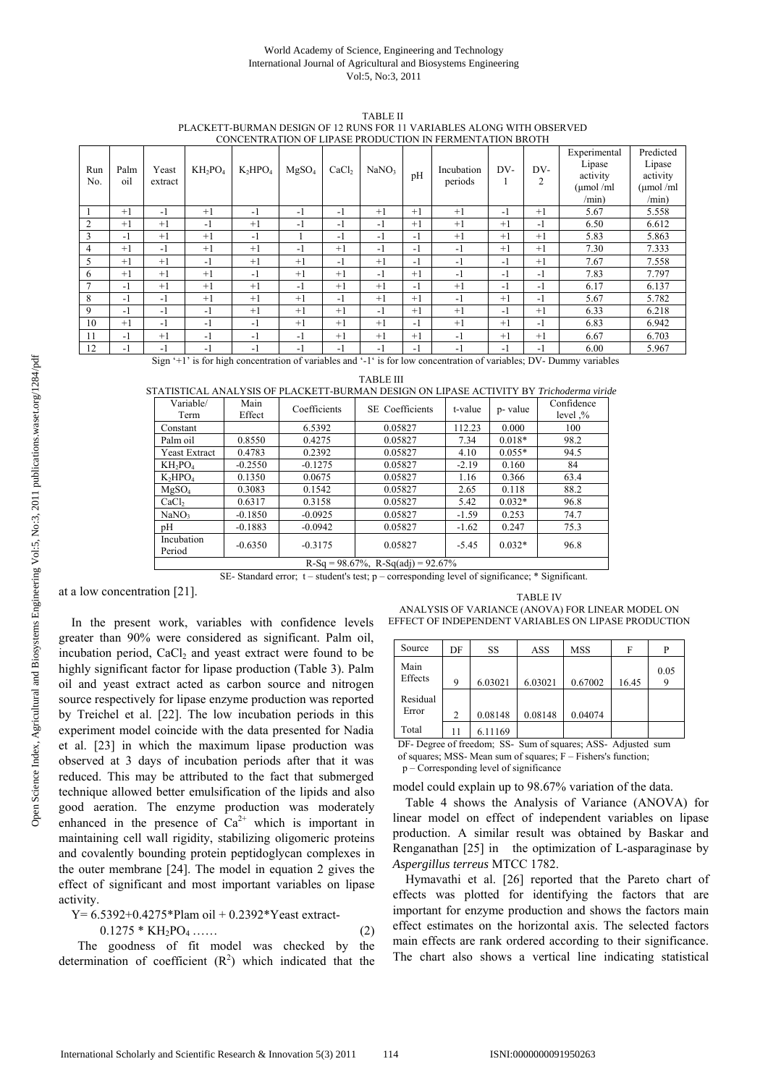#### World Academy of Science, Engineering and Technology International Journal of Agricultural and Biosystems Engineering Vol:5, No:3, 2011

TABLE II PLACKETT-BURMAN DESIGN OF 12 RUNS FOR 11 VARIABLES ALONG WITH OBSERVED CONCENTRATION OF LIPASE PRODUCTION IN FERMENTATION BROTH

| Run<br>No. | Palm<br>oil                                                                                                          | Yeast<br>extract | $KH_2PO_4$ | $K_2HPO_4$ | MgSO <sub>4</sub> | CaCl <sub>2</sub> | NaNO <sub>3</sub> | pH   | CONCENTRATION OF EILINGE INODUCTION INTERMENTATION DROTH<br>Incubation<br>periods | DV-  | DV-<br>2 | Experimental<br>Lipase<br>activity<br>$\mu$ mol/ml<br>/min) | Predicted<br>Lipase<br>activity<br>$\mu$ mol/ml<br>/min) |
|------------|----------------------------------------------------------------------------------------------------------------------|------------------|------------|------------|-------------------|-------------------|-------------------|------|-----------------------------------------------------------------------------------|------|----------|-------------------------------------------------------------|----------------------------------------------------------|
|            | $+1$                                                                                                                 | $-1$             | $+1$       | -1         | -1                | -1                | $+1$              | $+1$ | $+1$                                                                              | $-1$ | $+1$     | 5.67                                                        | 5.558                                                    |
| 2          | $+1$                                                                                                                 | $+1$             | $-1$       | $+1$       | -1                | -1                | $-1$              | $+1$ | $+1$                                                                              | $+1$ | -1       | 6.50                                                        | 6.612                                                    |
| 3          | $-1$                                                                                                                 | $+1$             | $+1$       | -1         |                   | -1                | $-1$              | -1   | $+1$                                                                              | $+1$ | $+1$     | 5.83                                                        | 5.863                                                    |
| 4          | $+1$                                                                                                                 | $-1$             | $+1$       | $+1$       | -1                | $+1$              | $-1$              | $-1$ | -1                                                                                | $+1$ | $+1$     | 7.30                                                        | 7.333                                                    |
| 5          | $+1$                                                                                                                 | $+1$             | $-1$       | $+1$       | $+1$              | -1                | $+1$              | $-1$ | -1                                                                                | $-1$ | $+1$     | 7.67                                                        | 7.558                                                    |
| 6          | $+1$                                                                                                                 | $+1$             | $+1$       | $-1$       | $+1$              | $+1$              | $-1$              | $+1$ | $-1$                                                                              | $-1$ | $-1$     | 7.83                                                        | 7.797                                                    |
|            | $-1$                                                                                                                 | $+1$             | $+1$       | $+1$       | $-1$              | $+1$              | $+1$              | $-1$ | $+1$                                                                              | $-1$ | -1       | 6.17                                                        | 6.137                                                    |
| 8          | $-1$                                                                                                                 | $-1$             | $+1$       | $+1$       | $+1$              | $-1$              | $+1$              | $+1$ | $-1$                                                                              | $+1$ | -1       | 5.67                                                        | 5.782                                                    |
| 9          | $-1$                                                                                                                 | $-1$             | $-1$       | $+1$       | $+1$              | $+1$              | $-1$              | $+1$ | $+1$                                                                              | $-1$ | $+1$     | 6.33                                                        | 6.218                                                    |
| 10         | $+1$                                                                                                                 | $-1$             | $-1$       | $-1$       | $+1$              | $+1$              | $+1$              | -1   | $+1$                                                                              | $+1$ | $-1$     | 6.83                                                        | 6.942                                                    |
| 11         | $-1$                                                                                                                 | $+1$             | $-1$       | -1         | -1                | $+1$              | $+1$              | $+1$ | -1                                                                                | $+1$ | $+1$     | 6.67                                                        | 6.703                                                    |
| 12         | $-1$                                                                                                                 | $-1$             | $-1$       | -1         | -1                | - 1               | $-1$              | $-1$ | $\overline{\phantom{a}}$                                                          | $-1$ | - 1      | 6.00                                                        | 5.967                                                    |
|            | Sign '+1' is for high concentration of variables and '-1' is for low concentration of variables; DV- Dummy variables |                  |            |            |                   |                   |                   |      |                                                                                   |      |          |                                                             |                                                          |

#### TABLE III

STATISTICAL ANALYSIS OF PLACKETT-BURMAN DESIGN ON LIPASE ACTIVITY BY *Trichoderma viride*

| Variable/                                       | Main      | Coefficients | <b>SE</b> Coefficients | t-value | p- value | Confidence |  |  |
|-------------------------------------------------|-----------|--------------|------------------------|---------|----------|------------|--|--|
| Term                                            | Effect    |              |                        |         |          | level $\%$ |  |  |
| Constant                                        |           | 6.5392       | 0.05827                | 112.23  | 0.000    | 100        |  |  |
| Palm oil                                        | 0.8550    | 0.4275       | 0.05827                | 7.34    | $0.018*$ | 98.2       |  |  |
| <b>Yeast Extract</b>                            | 0.4783    | 0.2392       | 0.05827                | 4.10    | $0.055*$ | 94.5       |  |  |
| $KH_2PO_4$                                      | $-0.2550$ | $-0.1275$    | 0.05827                | $-2.19$ | 0.160    | 84         |  |  |
| $K_2HPO_4$                                      | 0.1350    | 0.0675       | 0.05827                | 1.16    | 0.366    | 63.4       |  |  |
| MgSO <sub>4</sub>                               | 0.3083    | 0.1542       | 0.05827                | 2.65    | 0.118    | 88.2       |  |  |
| CaCl <sub>2</sub>                               | 0.6317    | 0.3158       | 0.05827                | 5.42    | $0.032*$ | 96.8       |  |  |
| NaNO <sub>3</sub>                               | $-0.1850$ | $-0.0925$    | 0.05827                | $-1.59$ | 0.253    | 74.7       |  |  |
| pH                                              | $-0.1883$ | $-0.0942$    | 0.05827                | $-1.62$ | 0.247    | 75.3       |  |  |
| Incubation<br>Period                            | $-0.6350$ | $-0.3175$    | 0.05827                | $-5.45$ | $0.032*$ | 96.8       |  |  |
| $D_{0}$ $C_{0}$ = 08.67% D $C_{0}(dd)$ = 02.67% |           |              |                        |         |          |            |  |  |

 $R-Sq = 98.67\%, R-Sq(adj) = 92.67\%$ 

SE- Standard error; t – student's test; p – corresponding level of significance; \* Significant.

at a low concentration [21].

In the present work, variables with confidence levels greater than 90% were considered as significant. Palm oil, incubation period, CaCl<sub>2</sub> and yeast extract were found to be highly significant factor for lipase production (Table 3). Palm oil and yeast extract acted as carbon source and nitrogen source respectively for lipase enzyme production was reported by Treichel et al. [22]. The low incubation periods in this experiment model coincide with the data presented for Nadia et al. [23] in which the maximum lipase production was observed at 3 days of incubation periods after that it was reduced. This may be attributed to the fact that submerged technique allowed better emulsification of the lipids and also good aeration. The enzyme production was moderately enhanced in the presence of  $Ca^{2+}$  which is important in maintaining cell wall rigidity, stabilizing oligomeric proteins and covalently bounding protein peptidoglycan complexes in the outer membrane [24]. The model in equation 2 gives the effect of significant and most important variables on lipase activity.

$$
Y=6.5392+0.4275*Plan oil + 0.2392*Yeast extract-
$$

$$
0.1275 * KH2PO4...... \t(2)
$$

 The goodness of fit model was checked by the determination of coefficient  $(R^2)$  which indicated that the

TABLE IV ANALYSIS OF VARIANCE (ANOVA) FOR LINEAR MODEL ON EFFECT OF INDEPENDENT VARIABLES ON LIPASE PRODUCTION

| Source   | DF             | SS      | ASS     | <b>MSS</b> | F     | P    |
|----------|----------------|---------|---------|------------|-------|------|
| Main     |                |         |         |            |       | 0.05 |
| Effects  | 9              | 6.03021 | 6.03021 | 0.67002    | 16.45 |      |
| Residual |                |         |         |            |       |      |
| Error    | $\overline{c}$ | 0.08148 | 0.08148 | 0.04074    |       |      |
| Total    | 11             | 6.11169 |         |            |       |      |

DF- Degree of freedom; SS- Sum of squares; ASS- Adjusted sum of squares; MSS- Mean sum of squares; F – Fishers's function; p – Corresponding level of significance

model could explain up to 98.67% variation of the data.

Table 4 shows the Analysis of Variance (ANOVA) for linear model on effect of independent variables on lipase production. A similar result was obtained by Baskar and Renganathan [25] in the optimization of L-asparaginase by *Aspergillus terreus* MTCC 1782.

Hymavathi et al. [26] reported that the Pareto chart of effects was plotted for identifying the factors that are important for enzyme production and shows the factors main effect estimates on the horizontal axis. The selected factors main effects are rank ordered according to their significance. The chart also shows a vertical line indicating statistical